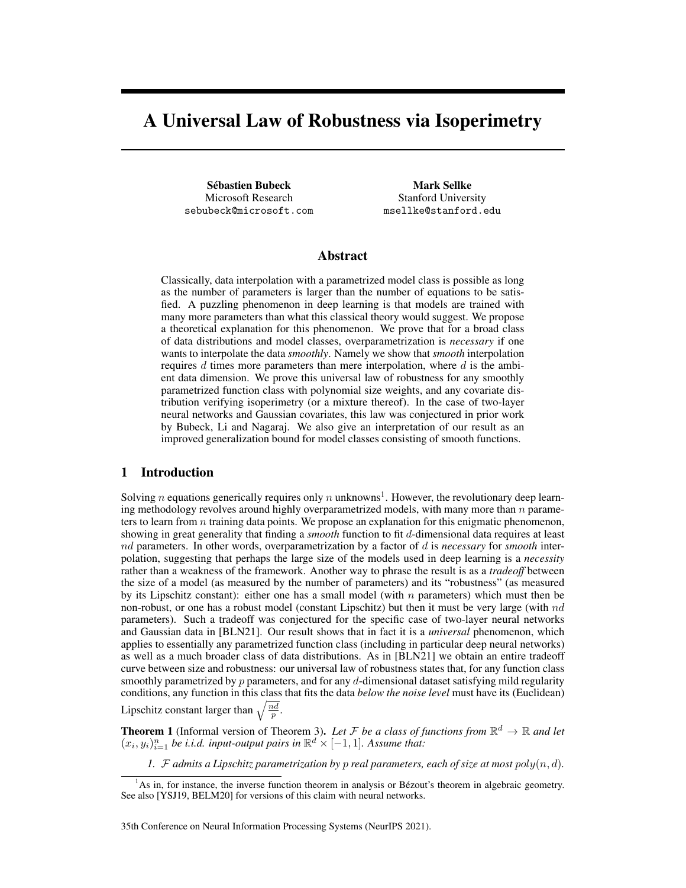# A Universal Law of Robustness via Isoperimetry

Sebastien Bubeck ´ Microsoft Research sebubeck@microsoft.com

Mark Sellke Stanford University msellke@stanford.edu

## Abstract

Classically, data interpolation with a parametrized model class is possible as long as the number of parameters is larger than the number of equations to be satisfied. A puzzling phenomenon in deep learning is that models are trained with many more parameters than what this classical theory would suggest. We propose a theoretical explanation for this phenomenon. We prove that for a broad class of data distributions and model classes, overparametrization is *necessary* if one wants to interpolate the data *smoothly*. Namely we show that *smooth* interpolation requires  $d$  times more parameters than mere interpolation, where  $d$  is the ambient data dimension. We prove this universal law of robustness for any smoothly parametrized function class with polynomial size weights, and any covariate distribution verifying isoperimetry (or a mixture thereof). In the case of two-layer neural networks and Gaussian covariates, this law was conjectured in prior work by Bubeck, Li and Nagaraj. We also give an interpretation of our result as an improved generalization bound for model classes consisting of smooth functions.

### 1 Introduction

Solving *n* equations generically requires only *n* unknowns<sup>1</sup>. However, the revolutionary deep learning methodology revolves around highly overparametrized models, with many more than  $n$  parameters to learn from  $n$  training data points. We propose an explanation for this enigmatic phenomenon, showing in great generality that finding a *smooth* function to fit d-dimensional data requires at least nd parameters. In other words, overparametrization by a factor of d is *necessary* for *smooth* interpolation, suggesting that perhaps the large size of the models used in deep learning is a *necessity* rather than a weakness of the framework. Another way to phrase the result is as a *tradeoff* between the size of a model (as measured by the number of parameters) and its "robustness" (as measured by its Lipschitz constant): either one has a small model (with  $n$  parameters) which must then be non-robust, or one has a robust model (constant Lipschitz) but then it must be very large (with  $nd$ parameters). Such a tradeoff was conjectured for the specific case of two-layer neural networks and Gaussian data in [BLN21]. Our result shows that in fact it is a *universal* phenomenon, which applies to essentially any parametrized function class (including in particular deep neural networks) as well as a much broader class of data distributions. As in [BLN21] we obtain an entire tradeoff curve between size and robustness: our universal law of robustness states that, for any function class smoothly parametrized by  $p$  parameters, and for any  $d$ -dimensional dataset satisfying mild regularity conditions, any function in this class that fits the data *below the noise level* must have its (Euclidean) Lipschitz constant larger than  $\sqrt{\frac{nd}{p}}$ .

**Theorem 1** (Informal version of Theorem 3). Let F be a class of functions from  $\mathbb{R}^d \to \mathbb{R}$  and let  $(x_i, y_i)_{i=1}^n$  *be i.i.d. input-output pairs in*  $\mathbb{R}^d \times [-1, 1]$ *. Assume that:* 

*1.*  $F$  *admits a Lipschitz parametrization by p real parameters, each of size at most*  $poly(n, d)$ *.* 

 $<sup>1</sup>$ As in, for instance, the inverse function theorem in analysis or Bézout's theorem in algebraic geometry.</sup> See also [YSJ19, BELM20] for versions of this claim with neural networks.

<sup>35</sup>th Conference on Neural Information Processing Systems (NeurIPS 2021).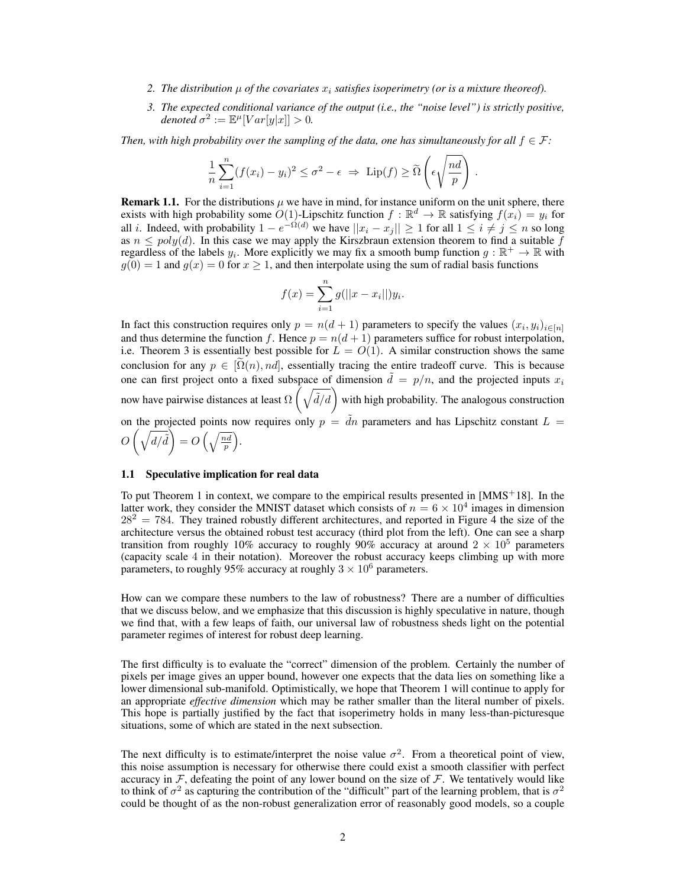- 2. The distribution  $\mu$  of the covariates  $x_i$  satisfies isoperimetry (or is a mixture theoreof).
- *3. The expected conditional variance of the output (i.e., the "noise level") is strictly positive,*  $denoted \ \sigma^2 := \mathbb{E}^{\mu}[Var[y|x]] > 0.$

*Then, with high probability over the sampling of the data, one has simultaneously for all*  $f \in \mathcal{F}$ *:* 

$$
\frac{1}{n}\sum_{i=1}^n (f(x_i) - y_i)^2 \le \sigma^2 - \epsilon \implies \text{Lip}(f) \ge \widetilde{\Omega}\left(\epsilon \sqrt{\frac{nd}{p}}\right).
$$

**Remark 1.1.** For the distributions  $\mu$  we have in mind, for instance uniform on the unit sphere, there exists with high probability some  $O(1)$ -Lipschitz function  $f : \mathbb{R}^d \to \mathbb{R}$  satisfying  $f(x_i) = y_i$  for all *i*. Indeed, with probability  $1 - e^{-\Omega(d)}$  we have  $||x_i - x_j|| \ge 1$  for all  $1 \le i \ne j \le n$  so long as  $n \leq poly(d)$ . In this case we may apply the Kirszbraun extension theorem to find a suitable  $\bar{f}$ regardless of the labels  $y_i$ . More explicitly we may fix a smooth bump function  $g : \mathbb{R}^+ \to \mathbb{R}$  with  $g(0) = 1$  and  $g(x) = 0$  for  $x \ge 1$ , and then interpolate using the sum of radial basis functions

$$
f(x) = \sum_{i=1}^{n} g(||x - x_i||)y_i.
$$

In fact this construction requires only  $p = n(d+1)$  parameters to specify the values  $(x_i, y_i)_{i \in [n]}$ and thus determine the function f. Hence  $p = n(d+1)$  parameters suffice for robust interpolation, i.e. Theorem 3 is essentially best possible for  $\overline{L} = O(1)$ . A similar construction shows the same conclusion for any  $p \in [\Omega(n), nd]$ , essentially tracing the entire tradeoff curve. This is because one can first project onto a fixed subspace of dimension  $\hat{d} = p/n$ , and the projected inputs  $x_i$ now have pairwise distances at least  $\Omega\left(\sqrt{\tilde{d}/d}\right)$  with high probability. The analogous construction on the projected points now requires only  $p = d\tilde{a}$  parameters and has Lipschitz constant  $L =$  $O\left(\sqrt{d/\tilde{d}}\right) = O\left(\sqrt{\frac{nd}{p}}\right).$ 

#### 1.1 Speculative implication for real data

To put Theorem 1 in context, we compare to the empirical results presented in  $[MMS<sup>+</sup>18]$ . In the latter work, they consider the MNIST dataset which consists of  $n = 6 \times 10^4$  images in dimension  $28^2 = 784$ . They trained robustly different architectures, and reported in Figure 4 the size of the architecture versus the obtained robust test accuracy (third plot from the left). One can see a sharp transition from roughly 10% accuracy to roughly 90% accuracy at around  $2 \times 10^5$  parameters (capacity scale 4 in their notation). Moreover the robust accuracy keeps climbing up with more parameters, to roughly 95% accuracy at roughly  $3 \times 10^6$  parameters.

How can we compare these numbers to the law of robustness? There are a number of difficulties that we discuss below, and we emphasize that this discussion is highly speculative in nature, though we find that, with a few leaps of faith, our universal law of robustness sheds light on the potential parameter regimes of interest for robust deep learning.

The first difficulty is to evaluate the "correct" dimension of the problem. Certainly the number of pixels per image gives an upper bound, however one expects that the data lies on something like a lower dimensional sub-manifold. Optimistically, we hope that Theorem 1 will continue to apply for an appropriate *effective dimension* which may be rather smaller than the literal number of pixels. This hope is partially justified by the fact that isoperimetry holds in many less-than-picturesque situations, some of which are stated in the next subsection.

The next difficulty is to estimate/interpret the noise value  $\sigma^2$ . From a theoretical point of view, this noise assumption is necessary for otherwise there could exist a smooth classifier with perfect accuracy in  $F$ , defeating the point of any lower bound on the size of  $F$ . We tentatively would like to think of  $\sigma^2$  as capturing the contribution of the "difficult" part of the learning problem, that is  $\sigma^2$ could be thought of as the non-robust generalization error of reasonably good models, so a couple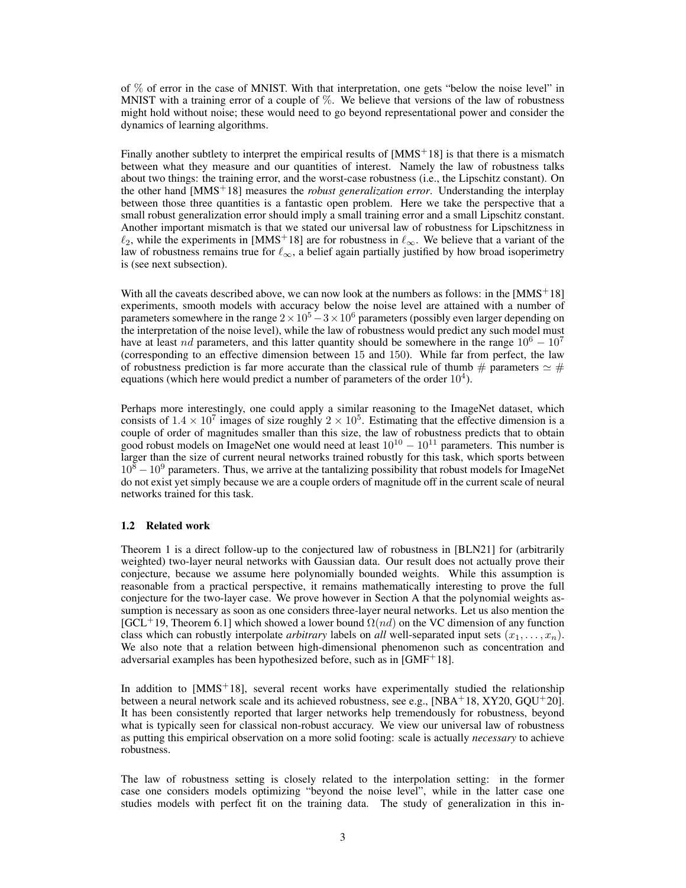of % of error in the case of MNIST. With that interpretation, one gets "below the noise level" in MNIST with a training error of a couple of  $\%$ . We believe that versions of the law of robustness might hold without noise; these would need to go beyond representational power and consider the dynamics of learning algorithms.

Finally another subtlety to interpret the empirical results of  $[MMS<sup>+</sup>18]$  is that there is a mismatch between what they measure and our quantities of interest. Namely the law of robustness talks about two things: the training error, and the worst-case robustness (i.e., the Lipschitz constant). On the other hand [MMS+18] measures the *robust generalization error*. Understanding the interplay between those three quantities is a fantastic open problem. Here we take the perspective that a small robust generalization error should imply a small training error and a small Lipschitz constant. Another important mismatch is that we stated our universal law of robustness for Lipschitzness in  $\ell_2$ , while the experiments in [MMS<sup>+</sup>18] are for robustness in  $\ell_{\infty}$ . We believe that a variant of the law of robustness remains true for  $\ell_{\infty}$ , a belief again partially justified by how broad isoperimetry is (see next subsection).

With all the caveats described above, we can now look at the numbers as follows: in the  $[MMS^+18]$ experiments, smooth models with accuracy below the noise level are attained with a number of parameters somewhere in the range  $2\times10^5-3\times10^6$  parameters (possibly even larger depending on the interpretation of the noise level), while the law of robustness would predict any such model must have at least nd parameters, and this latter quantity should be somewhere in the range  $10^6 - 10^7$ (corresponding to an effective dimension between 15 and 150). While far from perfect, the law of robustness prediction is far more accurate than the classical rule of thumb # parameters  $\simeq$  # equations (which here would predict a number of parameters of the order  $10^4$ ).

Perhaps more interestingly, one could apply a similar reasoning to the ImageNet dataset, which consists of  $1.4 \times 10^7$  images of size roughly  $2 \times 10^5$ . Estimating that the effective dimension is a couple of order of magnitudes smaller than this size, the law of robustness predicts that to obtain good robust models on ImageNet one would need at least  $10^{10} - 10^{11}$  parameters. This number is larger than the size of current neural networks trained robustly for this task, which sports between  $10^8 - 10^9$  parameters. Thus, we arrive at the tantalizing possibility that robust models for ImageNet do not exist yet simply because we are a couple orders of magnitude off in the current scale of neural networks trained for this task.

#### 1.2 Related work

Theorem 1 is a direct follow-up to the conjectured law of robustness in [BLN21] for (arbitrarily weighted) two-layer neural networks with Gaussian data. Our result does not actually prove their conjecture, because we assume here polynomially bounded weights. While this assumption is reasonable from a practical perspective, it remains mathematically interesting to prove the full conjecture for the two-layer case. We prove however in Section A that the polynomial weights assumption is necessary as soon as one considers three-layer neural networks. Let us also mention the [GCL<sup>+</sup>19, Theorem 6.1] which showed a lower bound  $\Omega(nd)$  on the VC dimension of any function class which can robustly interpolate *arbitrary* labels on *all* well-separated input sets  $(x_1, \ldots, x_n)$ . We also note that a relation between high-dimensional phenomenon such as concentration and adversarial examples has been hypothesized before, such as in [GMF<sup>+</sup>18].

In addition to  $[MMS<sup>+</sup>18]$ , several recent works have experimentally studied the relationship between a neural network scale and its achieved robustness, see e.g., [NBA<sup>+</sup>18, XY20, GQU<sup>+</sup>20]. It has been consistently reported that larger networks help tremendously for robustness, beyond what is typically seen for classical non-robust accuracy. We view our universal law of robustness as putting this empirical observation on a more solid footing: scale is actually *necessary* to achieve robustness.

The law of robustness setting is closely related to the interpolation setting: in the former case one considers models optimizing "beyond the noise level", while in the latter case one studies models with perfect fit on the training data. The study of generalization in this in-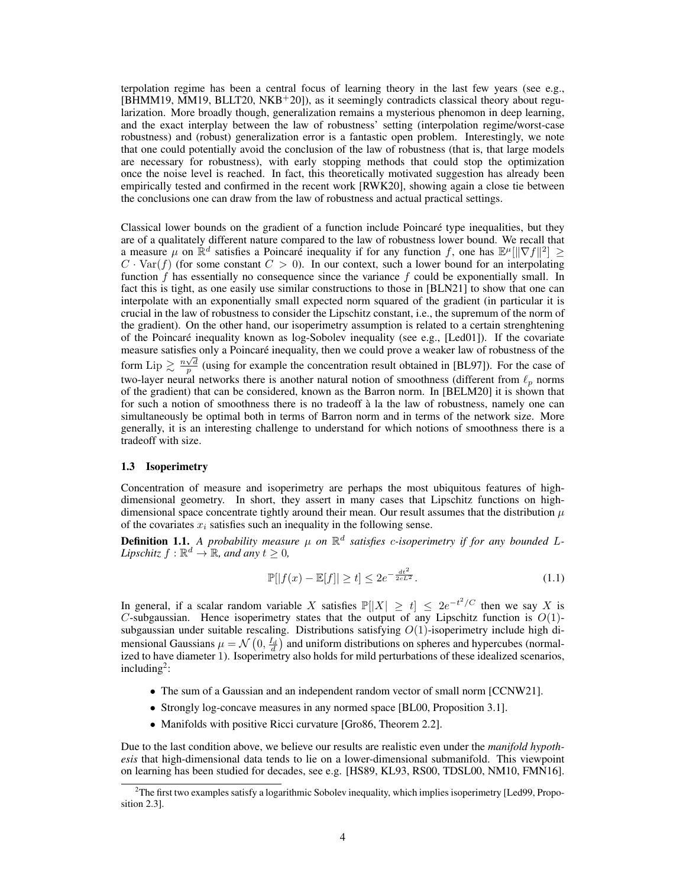terpolation regime has been a central focus of learning theory in the last few years (see e.g.,  $[BHMM19, MM19, BLLT20, NKB<sup>+</sup>20]$ , as it seemingly contradicts classical theory about regularization. More broadly though, generalization remains a mysterious phenomon in deep learning, and the exact interplay between the law of robustness' setting (interpolation regime/worst-case robustness) and (robust) generalization error is a fantastic open problem. Interestingly, we note that one could potentially avoid the conclusion of the law of robustness (that is, that large models are necessary for robustness), with early stopping methods that could stop the optimization once the noise level is reached. In fact, this theoretically motivated suggestion has already been empirically tested and confirmed in the recent work [RWK20], showing again a close tie between the conclusions one can draw from the law of robustness and actual practical settings.

Classical lower bounds on the gradient of a function include Poincare type inequalities, but they ´ are of a qualitately different nature compared to the law of robustness lower bound. We recall that a measure  $\mu$  on  $\mathbb{R}^d$  satisfies a Poincaré inequality if for any function f, one has  $\mathbb{E}^{\mu}[\|\nabla f\|^2] \geq$  $C \cdot \text{Var}(f)$  (for some constant  $C > 0$ ). In our context, such a lower bound for an interpolating function  $f$  has essentially no consequence since the variance  $f$  could be exponentially small. In fact this is tight, as one easily use similar constructions to those in [BLN21] to show that one can interpolate with an exponentially small expected norm squared of the gradient (in particular it is crucial in the law of robustness to consider the Lipschitz constant, i.e., the supremum of the norm of the gradient). On the other hand, our isoperimetry assumption is related to a certain strenghtening of the Poincaré inequality known as log-Sobolev inequality (see e.g., [Led01]). If the covariate measure satisfies only a Poincaré inequality, then we could prove a weaker law of robustness of the form Lip  $\geq \frac{n\sqrt{d}}{p}$  (using for example the concentration result obtained in [BL97]). For the case of two-layer neural networks there is another natural notion of smoothness (different from  $\ell_p$  norms of the gradient) that can be considered, known as the Barron norm. In [BELM20] it is shown that for such a notion of smoothness there is no tradeoff à la the law of robustness, namely one can simultaneously be optimal both in terms of Barron norm and in terms of the network size. More generally, it is an interesting challenge to understand for which notions of smoothness there is a tradeoff with size.

#### 1.3 Isoperimetry

Concentration of measure and isoperimetry are perhaps the most ubiquitous features of highdimensional geometry. In short, they assert in many cases that Lipschitz functions on highdimensional space concentrate tightly around their mean. Our result assumes that the distribution  $\mu$ of the covariates  $x_i$  satisfies such an inequality in the following sense.

**Definition 1.1.** A probability measure  $\mu$  on  $\mathbb{R}^d$  satisfies c-isoperimetry if for any bounded L-*Lipschitz*  $f : \mathbb{R}^d \to \mathbb{R}$ *, and any*  $t \geq 0$ *,* 

$$
\mathbb{P}[|f(x) - \mathbb{E}[f]| \ge t] \le 2e^{-\frac{dt^2}{2cL^2}}.\tag{1.1}
$$

In general, if a scalar random variable X satisfies  $\mathbb{P}[|X| \ge t] \le 2e^{-t^2/C}$  then we say X is C-subgaussian. Hence isoperimetry states that the output of any Lipschitz function is  $O(1)$ subgaussian under suitable rescaling. Distributions satisfying  $O(1)$ -isoperimetry include high dimensional Gaussians  $\mu = \mathcal{N}\left(0, \frac{I_d}{d}\right)$  and uniform distributions on spheres and hypercubes (normalized to have diameter 1). Isoperimetry also holds for mild perturbations of these idealized scenarios, including<sup>2</sup>:

- The sum of a Gaussian and an independent random vector of small norm [CCNW21].
- Strongly log-concave measures in any normed space [BL00, Proposition 3.1].
- Manifolds with positive Ricci curvature [Gro86, Theorem 2.2].

Due to the last condition above, we believe our results are realistic even under the *manifold hypothesis* that high-dimensional data tends to lie on a lower-dimensional submanifold. This viewpoint on learning has been studied for decades, see e.g. [HS89, KL93, RS00, TDSL00, NM10, FMN16].

<sup>&</sup>lt;sup>2</sup>The first two examples satisfy a logarithmic Sobolev inequality, which implies isoperimetry [Led99, Proposition 2.3].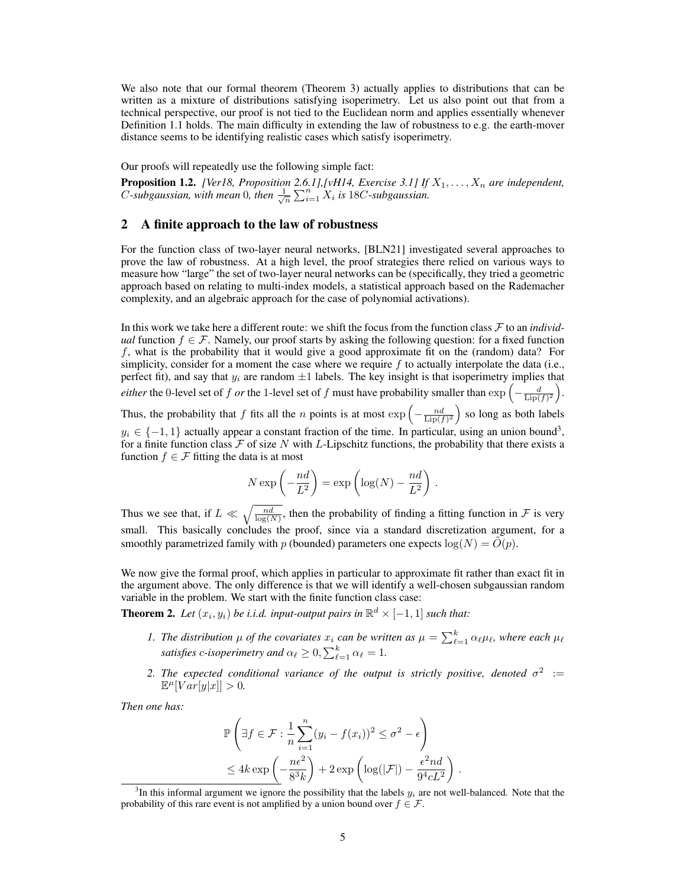We also note that our formal theorem (Theorem 3) actually applies to distributions that can be written as a mixture of distributions satisfying isoperimetry. Let us also point out that from a technical perspective, our proof is not tied to the Euclidean norm and applies essentially whenever Definition 1.1 holds. The main difficulty in extending the law of robustness to e.g. the earth-mover distance seems to be identifying realistic cases which satisfy isoperimetry.

Our proofs will repeatedly use the following simple fact:

**Proposition 1.2.** *[Ver18, Proposition 2.6.1],[vH14, Exercise 3.1] If*  $X_1, \ldots, X_n$  *are independent, C*-subgaussian, with mean 0, then  $\frac{1}{\sqrt{n}} \sum_{i=1}^{n} X_i$  is 18*C*-subgaussian.

## 2 A finite approach to the law of robustness

For the function class of two-layer neural networks, [BLN21] investigated several approaches to prove the law of robustness. At a high level, the proof strategies there relied on various ways to measure how "large" the set of two-layer neural networks can be (specifically, they tried a geometric approach based on relating to multi-index models, a statistical approach based on the Rademacher complexity, and an algebraic approach for the case of polynomial activations).

In this work we take here a different route: we shift the focus from the function class F to an *individual* function  $f \in \mathcal{F}$ . Namely, our proof starts by asking the following question: for a fixed function f, what is the probability that it would give a good approximate fit on the (random) data? For simplicity, consider for a moment the case where we require  $f$  to actually interpolate the data (i.e., perfect fit), and say that  $y_i$  are random  $\pm 1$  labels. The key insight is that isoperimetry implies that *either* the 0-level set of *f or* the 1-level set of *f* must have probability smaller than  $\exp\left(-\frac{d}{\text{Lip}(f)^2}\right)$ . Thus, the probability that f fits all the n points is at most  $\exp\left(-\frac{nd}{\text{Lip}(f)^2}\right)$  so long as both labels  $y_i \in \{-1, 1\}$  actually appear a constant fraction of the time. In particular, using an union bound<sup>3</sup>, for a finite function class  $\mathcal F$  of size N with L-Lipschitz functions, the probability that there exists a function  $f \in \mathcal{F}$  fitting the data is at most

$$
N \exp\left(-\frac{nd}{L^2}\right) = \exp\left(\log(N) - \frac{nd}{L^2}\right).
$$

Thus we see that, if  $L \ll \sqrt{\frac{nd}{\log(N)}}$ , then the probability of finding a fitting function in F is very small. This basically concludes the proof, since via a standard discretization argument, for a smoothly parametrized family with p (bounded) parameters one expects  $log(N) = O(p)$ .

We now give the formal proof, which applies in particular to approximate fit rather than exact fit in the argument above. The only difference is that we will identify a well-chosen subgaussian random variable in the problem. We start with the finite function class case:

**Theorem 2.** Let  $(x_i, y_i)$  be i.i.d. input-output pairs in  $\mathbb{R}^d \times [-1, 1]$  such that:

- *1. The distribution*  $\mu$  *of the covariates*  $x_i$  *can be written as*  $\mu = \sum_{\ell=1}^k \alpha_{\ell} \mu_{\ell}$ *, where each*  $\mu_{\ell}$ *satisfies c*-*isoperimetry and*  $\alpha_{\ell} \geq 0$ ,  $\sum_{\ell=1}^{k} \alpha_{\ell} = 1$ .
- 2. The expected conditional variance of the output is strictly positive, denoted  $\sigma^2$  :=  $\mathbb{E}^{\mu}[Var[y|x]] > 0.$

.

*Then one has:*

$$
\mathbb{P}\left(\exists f \in \mathcal{F} : \frac{1}{n} \sum_{i=1}^{n} (y_i - f(x_i))^2 \le \sigma^2 - \epsilon\right)
$$
  

$$
\le 4k \exp\left(-\frac{n\epsilon^2}{8^3 k}\right) + 2 \exp\left(\log(|\mathcal{F}|) - \frac{\epsilon^2 nd}{9^4 c L^2}\right)
$$

 ${}^{3}$ In this informal argument we ignore the possibility that the labels  $y_i$  are not well-balanced. Note that the probability of this rare event is not amplified by a union bound over  $f \in \mathcal{F}$ .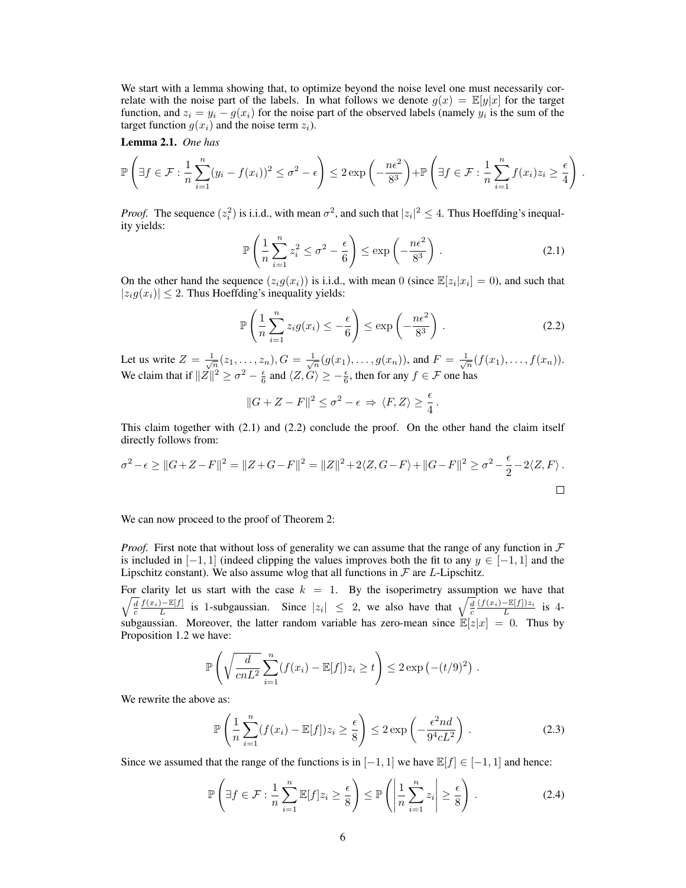We start with a lemma showing that, to optimize beyond the noise level one must necessarily correlate with the noise part of the labels. In what follows we denote  $g(x) = \mathbb{E}[y|x]$  for the target function, and  $z_i = y_i - g(x_i)$  for the noise part of the observed labels (namely  $y_i$  is the sum of the target function  $g(x_i)$  and the noise term  $z_i$ ).

Lemma 2.1. *One has*

$$
\mathbb{P}\left(\exists f \in \mathcal{F}: \frac{1}{n}\sum_{i=1}^{n}(y_i - f(x_i))^2 \leq \sigma^2 - \epsilon\right) \leq 2\exp\left(-\frac{n\epsilon^2}{8^3}\right) + \mathbb{P}\left(\exists f \in \mathcal{F}: \frac{1}{n}\sum_{i=1}^{n}f(x_i)z_i \geq \frac{\epsilon}{4}\right)
$$

*Proof.* The sequence  $(z_i^2)$  is i.i.d., with mean  $\sigma^2$ , and such that  $|z_i|^2 \leq 4$ . Thus Hoeffding's inequality yields:

$$
\mathbb{P}\left(\frac{1}{n}\sum_{i=1}^{n}z_i^2 \le \sigma^2 - \frac{\epsilon}{6}\right) \le \exp\left(-\frac{n\epsilon^2}{8^3}\right). \tag{2.1}
$$

.

On the other hand the sequence  $(z_i g(x_i))$  is i.i.d., with mean 0 (since  $\mathbb{E}[z_i | x_i] = 0$ ), and such that  $|z_i g(x_i)| \leq 2$ . Thus Hoeffding's inequality yields:

$$
\mathbb{P}\left(\frac{1}{n}\sum_{i=1}^{n}z_{i}g(x_{i})\leq-\frac{\epsilon}{6}\right)\leq\exp\left(-\frac{n\epsilon^{2}}{8^{3}}\right).
$$
\n(2.2)

Let us write  $Z = \frac{1}{\sqrt{n}}(z_1, ..., z_n)$ ,  $G = \frac{1}{\sqrt{n}}(g(x_1), ..., g(x_n))$ , and  $F = \frac{1}{\sqrt{n}}(f(x_1), ..., f(x_n))$ . We claim that if  $||Z||^2 \ge \sigma^2 - \frac{\epsilon}{6}$  and  $\langle Z, G \rangle \ge -\frac{\epsilon}{6}$ , then for any  $f \in \mathcal{F}$  one has

$$
||G + Z - F||^2 \le \sigma^2 - \epsilon \Rightarrow \langle F, Z \rangle \ge \frac{\epsilon}{4}.
$$

This claim together with (2.1) and (2.2) conclude the proof. On the other hand the claim itself directly follows from:

$$
\sigma^2 - \epsilon \ge ||G + Z - F||^2 = ||Z + G - F||^2 = ||Z||^2 + 2\langle Z, G - F \rangle + ||G - F||^2 \ge \sigma^2 - \frac{\epsilon}{2} - 2\langle Z, F \rangle.
$$

We can now proceed to the proof of Theorem 2:

*Proof.* First note that without loss of generality we can assume that the range of any function in  $\mathcal F$ is included in  $[-1, 1]$  (indeed clipping the values improves both the fit to any  $y \in [-1, 1]$  and the Lipschitz constant). We also assume wlog that all functions in  $\mathcal F$  are L-Lipschitz.

For clarity let us start with the case  $k = 1$ . By the isoperimetry assumption we have that  $\sqrt{\frac{d}{c}} \frac{f(x_i) - \mathbb{E}[f]}{L}$  is 1-subgaussian. Since  $|z_i| \leq 2$ , we also have that  $\sqrt{\frac{d}{c}} \frac{(f(x_i) - \mathbb{E}[f])z_i}{L}$  is 4subgaussian. Moreover, the latter random variable has zero-mean since  $\mathbb{E}[z|x] = 0$ . Thus by Proposition 1.2 we have:

$$
\mathbb{P}\left(\sqrt{\frac{d}{cnL^2}}\sum_{i=1}^n(f(x_i)-\mathbb{E}[f])z_i\geq t\right)\leq 2\exp\left(-(t/9)^2\right).
$$

We rewrite the above as:

$$
\mathbb{P}\left(\frac{1}{n}\sum_{i=1}^{n}(f(x_i)-\mathbb{E}[f])z_i\geq\frac{\epsilon}{8}\right)\leq 2\exp\left(-\frac{\epsilon^2 nd}{9^4cL^2}\right).
$$
 (2.3)

Since we assumed that the range of the functions is in  $[-1, 1]$  we have  $\mathbb{E}[f] \in [-1, 1]$  and hence:

$$
\mathbb{P}\left(\exists f \in \mathcal{F}: \frac{1}{n} \sum_{i=1}^{n} \mathbb{E}[f] z_i \ge \frac{\epsilon}{8}\right) \le \mathbb{P}\left(\left|\frac{1}{n} \sum_{i=1}^{n} z_i\right| \ge \frac{\epsilon}{8}\right). \tag{2.4}
$$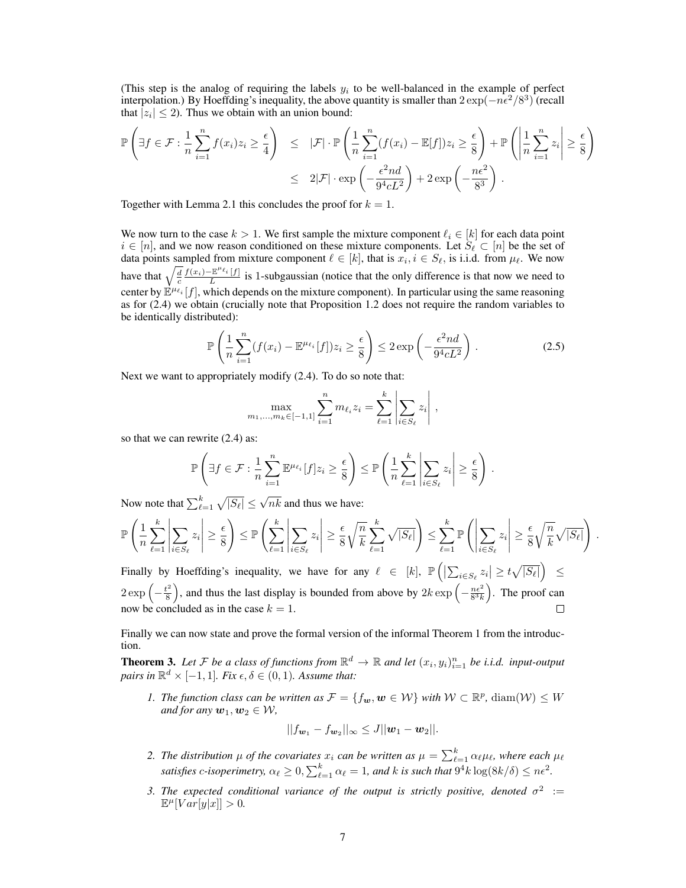(This step is the analog of requiring the labels  $y_i$  to be well-balanced in the example of perfect interpolation.) By Hoeffding's inequality, the above quantity is smaller than  $2 \exp(-n\epsilon^2/8^3)$  (recall that  $|z_i| \leq 2$ ). Thus we obtain with an union bound:

$$
\mathbb{P}\left(\exists f \in \mathcal{F}: \frac{1}{n} \sum_{i=1}^{n} f(x_i) z_i \ge \frac{\epsilon}{4}\right) \le |\mathcal{F}| \cdot \mathbb{P}\left(\frac{1}{n} \sum_{i=1}^{n} (f(x_i) - \mathbb{E}[f]) z_i \ge \frac{\epsilon}{8}\right) + \mathbb{P}\left(\left|\frac{1}{n} \sum_{i=1}^{n} z_i\right| \ge \frac{\epsilon}{8}\right)
$$

$$
\le 2|\mathcal{F}| \cdot \exp\left(-\frac{\epsilon^2 nd}{9^4 c L^2}\right) + 2 \exp\left(-\frac{n\epsilon^2}{8^3}\right).
$$

Together with Lemma 2.1 this concludes the proof for  $k = 1$ .

We now turn to the case  $k > 1$ . We first sample the mixture component  $\ell_i \in [k]$  for each data point  $i \in [n]$ , and we now reason conditioned on these mixture components. Let  $S_\ell \subset [n]$  be the set of data points sampled from mixture component  $\ell \in [k]$ , that is  $x_i, i \in S_\ell$ , is i.i.d. from  $\mu_\ell$ . We now have that  $\sqrt{\frac{d}{c}} \frac{f(x_i) - \mathbb{E}^{\mu_{\ell_i}}[f]}{L}$  $\frac{L}{L}$  is 1-subgaussian (notice that the only difference is that now we need to center by  $\mathbb{E}^{\mu_{\ell_i}}[f]$ , which depends on the mixture component). In particular using the same reasoning as for (2.4) we obtain (crucially note that Proposition 1.2 does not require the random variables to be identically distributed):

$$
\mathbb{P}\left(\frac{1}{n}\sum_{i=1}^{n}(f(x_i)-\mathbb{E}^{\mu_{\ell_i}}[f])z_i\geq \frac{\epsilon}{8}\right)\leq 2\exp\left(-\frac{\epsilon^2 nd}{9^4cL^2}\right).
$$
 (2.5)

Next we want to appropriately modify (2.4). To do so note that:

$$
\max_{m_1,...,m_k \in [-1,1]} \sum_{i=1}^n m_{\ell_i} z_i = \sum_{\ell=1}^k \left| \sum_{i \in S_\ell} z_i \right|,
$$

so that we can rewrite (2.4) as:

$$
\mathbb{P}\left(\exists f \in \mathcal{F}: \frac{1}{n}\sum_{i=1}^n \mathbb{E}^{\mu_{\ell_i}}[f]z_i \ge \frac{\epsilon}{8}\right) \le \mathbb{P}\left(\frac{1}{n}\sum_{\ell=1}^k \left|\sum_{i \in S_{\ell}} z_i\right| \ge \frac{\epsilon}{8}\right).
$$

Now note that  $\sum_{\ell=1}^k \sqrt{|S_{\ell}|} \leq \sqrt{nk}$  and thus we have:

$$
\mathbb{P}\left(\frac{1}{n}\sum_{\ell=1}^k\left|\sum_{i\in S_\ell}z_i\right|\geq \frac{\epsilon}{8}\right)\leq \mathbb{P}\left(\sum_{\ell=1}^k\left|\sum_{i\in S_\ell}z_i\right|\geq \frac{\epsilon}{8}\sqrt{\frac{n}{k}}\sum_{\ell=1}^k\sqrt{|S_\ell|}\right)\leq \sum_{\ell=1}^k\mathbb{P}\left(\left|\sum_{i\in S_\ell}z_i\right|\geq \frac{\epsilon}{8}\sqrt{\frac{n}{k}}\sqrt{|S_\ell|}\right).
$$

Finally by Hoeffding's inequality, we have for any  $\ell \in [k]$ ,  $\mathbb{P}\left(\left|\sum_{i \in S_{\ell}} z_i\right| \geq t\sqrt{|S_{\ell}|}\right) \leq$  $2 \exp \left(-\frac{t^2}{8}\right)$  $\left(\frac{k^2}{8}\right)$ , and thus the last display is bounded from above by  $2k \exp\left(-\frac{n\epsilon^2}{8^3k}\right)$ . The proof can now be concluded as in the case  $k = 1$ .  $\Box$ 

Finally we can now state and prove the formal version of the informal Theorem 1 from the introduction.

**Theorem 3.** Let F be a class of functions from  $\mathbb{R}^d \to \mathbb{R}$  and let  $(x_i, y_i)_{i=1}^n$  be i.i.d. input-output *pairs in*  $\mathbb{R}^d \times [-1,1]$ *. Fix*  $\epsilon, \delta \in (0,1)$ *. Assume that:* 

*1. The function class can be written as*  $\mathcal{F} = \{f_w, w \in \mathcal{W}\}\$  *with*  $\mathcal{W} \subset \mathbb{R}^p$ , diam $(\mathcal{W}) \leq W$ *and for any*  $w_1, w_2 \in W$ ,

$$
||f_{\mathbf{w}_1} - f_{\mathbf{w}_2}||_{\infty} \leq J||\mathbf{w}_1 - \mathbf{w}_2||.
$$

- 2. The distribution  $\mu$  of the covariates  $x_i$  can be written as  $\mu = \sum_{\ell=1}^k \alpha_\ell \mu_\ell$ , where each  $\mu_\ell$ *satisfies* c-isoperimetry,  $\alpha_{\ell} \geq 0$ ,  $\sum_{\ell=1}^{k} \alpha_{\ell} = 1$ , and k is such that  $9^4 k \log(8k/\delta) \leq n\epsilon^2$ .
- 3. The expected conditional variance of the output is strictly positive, denoted  $\sigma^2$  :=  $\mathbb{E}^{\mu}[Var[y|x]] > 0.$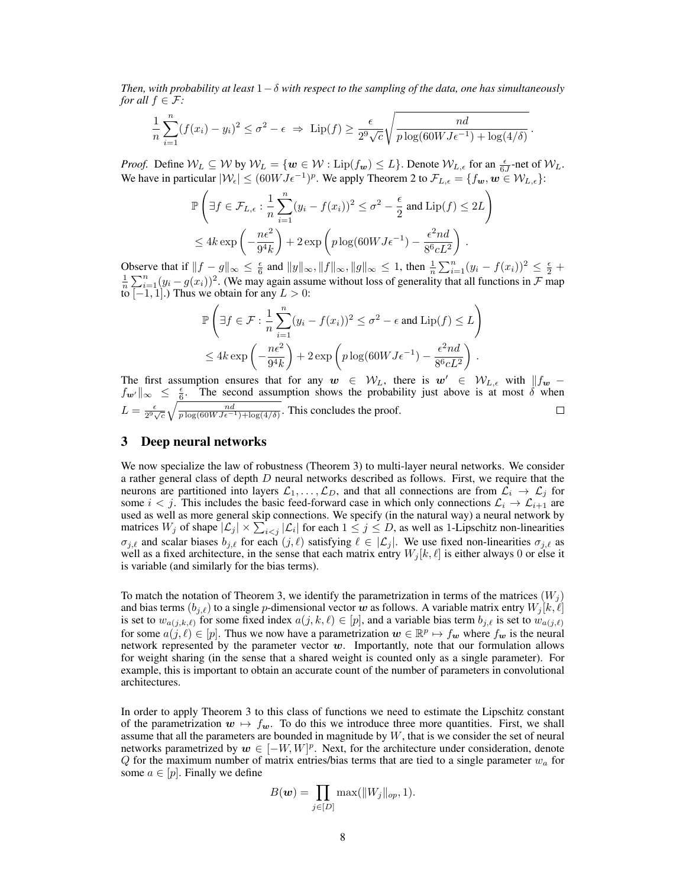*Then, with probability at least* 1−δ *with respect to the sampling of the data, one has simultaneously for all*  $f \in \mathcal{F}$ *:* 

$$
\frac{1}{n}\sum_{i=1}^{n}(f(x_i)-y_i)^2\leq \sigma^2-\epsilon \Rightarrow \operatorname{Lip}(f)\geq \frac{\epsilon}{2^9\sqrt{c}}\sqrt{\frac{nd}{p\log(60WJ\epsilon^{-1})+\log(4/\delta)}}.
$$

*Proof.* Define  $W_L \subseteq W$  by  $W_L = \{ w \in W : \text{Lip}(f_w) \leq L \}$ . Denote  $W_{L,\epsilon}$  for an  $\frac{\epsilon}{6J}$ -net of  $W_L$ . We have in particular  $|W_{\epsilon}| \leq (60W J \epsilon^{-1})^p$ . We apply Theorem 2 to  $\mathcal{F}_{L,\epsilon} = \{f_{\bm{w}}, \bm{w} \in \mathcal{W}_{L,\epsilon}\}\$ :

$$
\mathbb{P}\left(\exists f \in \mathcal{F}_{L,\epsilon} : \frac{1}{n} \sum_{i=1}^{n} (y_i - f(x_i))^2 \le \sigma^2 - \frac{\epsilon}{2} \text{ and } \text{Lip}(f) \le 2L\right)
$$
  

$$
\le 4k \exp\left(-\frac{n\epsilon^2}{9^4 k}\right) + 2 \exp\left(p \log(60 W J \epsilon^{-1}) - \frac{\epsilon^2 n d}{8^6 c L^2}\right).
$$

Observe that if  $||f - g||_{\infty} \le \frac{\epsilon}{6}$  and  $||y||_{\infty}$ ,  $||f||_{\infty}$ ,  $||g||_{\infty} \le 1$ , then  $\frac{1}{n} \sum_{i=1}^{n} (y_i - f(x_i))^2 \le \frac{\epsilon}{2} + \frac{1}{n} \sum_{i=1}^{n} (y_i - g(x_i))^2$ . (We may again assume without loss of generality that all functions i to  $[-1, 1]$ .) Thus we obtain for any  $L > 0$ :

$$
\mathbb{P}\left(\exists f \in \mathcal{F}: \frac{1}{n} \sum_{i=1}^{n} (y_i - f(x_i))^2 \le \sigma^2 - \epsilon \text{ and } \text{Lip}(f) \le L\right)
$$
  

$$
\le 4k \exp\left(-\frac{n\epsilon^2}{9^4 k}\right) + 2 \exp\left(p \log(60 W J \epsilon^{-1}) - \frac{\epsilon^2 n d}{8^6 c L^2}\right).
$$

The first assumption ensures that for any  $w \in \mathcal{W}_L$ , there is  $w' \in \mathcal{W}_{L,\epsilon}$  with  $||f_w - f_w||$  $f_{\bm{w'}} \|_{\infty} \leq \frac{\epsilon}{6}$ . The second assumption shows the probability just above is at most  $\delta$  when  $L = \frac{\epsilon}{2^9 \sqrt{c}} \sqrt{\frac{nd}{p \log(60 W J \epsilon^{-1}) + \log(4/\delta)}}$ . This concludes the proof.

## 3 Deep neural networks

We now specialize the law of robustness (Theorem 3) to multi-layer neural networks. We consider a rather general class of depth  $D$  neural networks described as follows. First, we require that the neurons are partitioned into layers  $\mathcal{L}_1, \ldots, \mathcal{L}_D$ , and that all connections are from  $\mathcal{L}_i \to \mathcal{L}_j$  for some  $i < j$ . This includes the basic feed-forward case in which only connections  $\mathcal{L}_i \to \mathcal{L}_{i+1}$  are used as well as more general skip connections. We specify (in the natural way) a neural network by matrices  $W_j$  of shape  $|\mathcal{L}_j| \times \sum_{i \le j} |\mathcal{L}_i|$  for each  $1 \le j \le D$ , as well as 1-Lipschitz non-linearities  $\sigma_{j,\ell}$  and scalar biases  $b_{j,\ell}$  for each  $(j,\ell)$  satisfying  $\ell \in |\mathcal{L}_j|$ . We use fixed non-linearities  $\sigma_{j,\ell}$  as well as a fixed architecture, in the sense that each matrix entry  $W_j [k, \ell]$  is either always 0 or else it is variable (and similarly for the bias terms).

To match the notation of Theorem 3, we identify the parametrization in terms of the matrices  $(W_i)$ and bias terms  $(b_{j,\ell})$  to a single p-dimensional vector w as follows. A variable matrix entry  $W_j [k, \ell]$ is set to  $w_{a(j,k,\ell)}$  for some fixed index  $a(j,k,\ell) \in [p]$ , and a variable bias term  $b_{j,\ell}$  is set to  $w_{a(j,\ell)}$ for some  $a(j, \ell) \in [p]$ . Thus we now have a parametrization  $w \in \mathbb{R}^p \mapsto f_w$  where  $f_w$  is the neural network represented by the parameter vector  $w$ . Importantly, note that our formulation allows for weight sharing (in the sense that a shared weight is counted only as a single parameter). For example, this is important to obtain an accurate count of the number of parameters in convolutional architectures.

In order to apply Theorem 3 to this class of functions we need to estimate the Lipschitz constant of the parametrization  $w \mapsto f_w$ . To do this we introduce three more quantities. First, we shall assume that all the parameters are bounded in magnitude by  $W$ , that is we consider the set of neural networks parametrized by  $w \in [-W, W]^p$ . Next, for the architecture under consideration, denote  $Q$  for the maximum number of matrix entries/bias terms that are tied to a single parameter  $w_a$  for some  $a \in [p]$ . Finally we define

$$
B(\boldsymbol{w})=\prod_{j\in[D]}\max(\|W_j\|_{op},1).
$$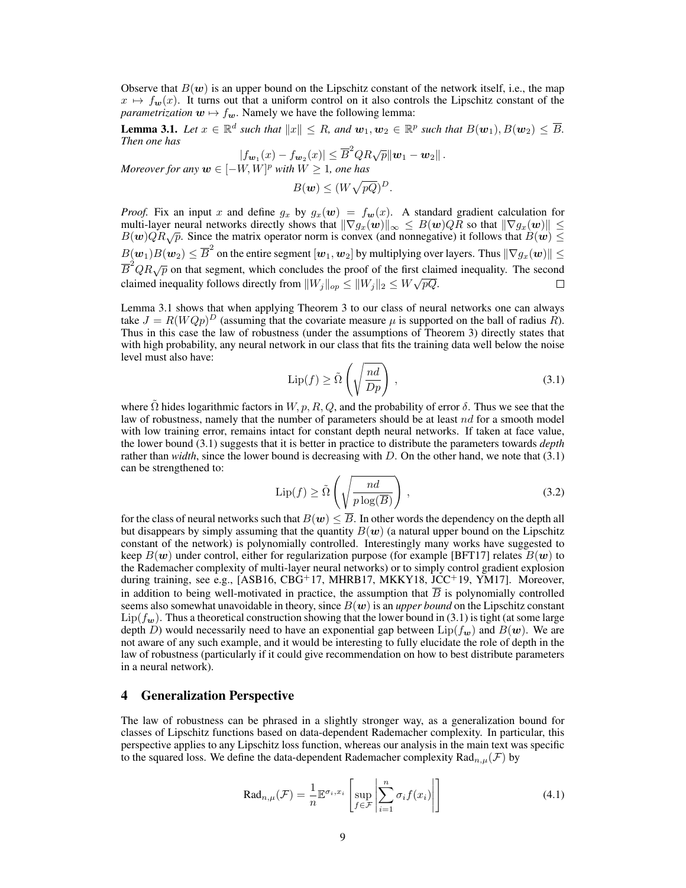Observe that  $B(w)$  is an upper bound on the Lipschitz constant of the network itself, i.e., the map  $x \mapsto f_{\mathbf{w}}(x)$ . It turns out that a uniform control on it also controls the Lipschitz constant of the *parametrization*  $w \mapsto f_w$ . Namely we have the following lemma:

**Lemma 3.1.** Let  $x \in \mathbb{R}^d$  such that  $||x|| \leq R$ , and  $w_1, w_2 \in \mathbb{R}^p$  such that  $B(w_1), B(w_2) \leq \overline{B}$ . *Then one has*

 $|f_{\mathbf{w}_1}(x) - f_{\mathbf{w}_2}(x)| \leq \overline{B}^2 Q R \sqrt{p} ||\mathbf{w}_1 - \mathbf{w}_2||$ .

*Moreover for any*  $w \in [-W, W]^p$  *with*  $W \ge 1$ *, one has* 

$$
B(\mathbf{w}) \leq (W\sqrt{pQ})^D.
$$

*Proof.* Fix an input x and define  $g_x$  by  $g_x(w) = f_w(x)$ . A standard gradient calculation for multi-layer neural networks directly shows that  $\|\nabla g_x(w)\|_{\infty} \leq B(w)QR$  so that  $\|\nabla g_x(w)\| \leq B(w)QR\sqrt{p}$ . Since the matrix operator norm is convex (and nonnegative) it follows that  $B(w) \leq$  $B(\bm{w}_1)B(\bm{w}_2)\leq \overline{B}^2$  on the entire segment  $[\bm{w}_1,\bm{w}_2]$  by multiplying over layers. Thus  $\|\nabla g_x(\bm{w})\|\leq \overline{B}^2$  $\overline{B}^2QR\sqrt{p}$  on that segment, which concludes the proof of the first claimed inequality. The second claimed inequality follows directly from  $||W_j||_{op} \le ||W_j||_2 \le W\sqrt{pQ}$ .  $\Box$ 

Lemma 3.1 shows that when applying Theorem 3 to our class of neural networks one can always take  $J = R(WQp)^D$  (assuming that the covariate measure  $\mu$  is supported on the ball of radius  $\hat{R}$ ). Thus in this case the law of robustness (under the assumptions of Theorem 3) directly states that with high probability, any neural network in our class that fits the training data well below the noise level must also have:

$$
\text{Lip}(f) \ge \tilde{\Omega}\left(\sqrt{\frac{nd}{Dp}}\right),\tag{3.1}
$$

where  $\tilde{\Omega}$  hides logarithmic factors in  $W, p, R, Q$ , and the probability of error  $\delta$ . Thus we see that the law of robustness, namely that the number of parameters should be at least  $nd$  for a smooth model with low training error, remains intact for constant depth neural networks. If taken at face value, the lower bound (3.1) suggests that it is better in practice to distribute the parameters towards *depth* rather than *width*, since the lower bound is decreasing with D. On the other hand, we note that (3.1) can be strengthened to:

$$
\text{Lip}(f) \ge \tilde{\Omega}\left(\sqrt{\frac{nd}{p\log(\overline{B})}}\right),\tag{3.2}
$$

for the class of neural networks such that  $B(w) \leq \overline{B}$ . In other words the dependency on the depth all but disappears by simply assuming that the quantity  $B(w)$  (a natural upper bound on the Lipschitz constant of the network) is polynomially controlled. Interestingly many works have suggested to keep  $B(w)$  under control, either for regularization purpose (for example [BFT17] relates  $B(w)$  to the Rademacher complexity of multi-layer neural networks) or to simply control gradient explosion during training, see e.g., [ASB16, CBG+17, MHRB17, MKKY18, JCC+19, YM17]. Moreover, in addition to being well-motivated in practice, the assumption that  $\overline{B}$  is polynomially controlled seems also somewhat unavoidable in theory, since  $B(w)$  is an *upper bound* on the Lipschitz constant  $Lip(f_{w})$ . Thus a theoretical construction showing that the lower bound in (3.1) is tight (at some large depth D) would necessarily need to have an exponential gap between  $\text{Lip}(f_{w})$  and  $B(w)$ . We are not aware of any such example, and it would be interesting to fully elucidate the role of depth in the law of robustness (particularly if it could give recommendation on how to best distribute parameters in a neural network).

# 4 Generalization Perspective

The law of robustness can be phrased in a slightly stronger way, as a generalization bound for classes of Lipschitz functions based on data-dependent Rademacher complexity. In particular, this perspective applies to any Lipschitz loss function, whereas our analysis in the main text was specific to the squared loss. We define the data-dependent Rademacher complexity  $\text{Rad}_{n,\mu}(\mathcal{F})$  by

$$
\text{Rad}_{n,\mu}(\mathcal{F}) = \frac{1}{n} \mathbb{E}^{\sigma_i, x_i} \left[ \sup_{f \in \mathcal{F}} \left| \sum_{i=1}^n \sigma_i f(x_i) \right| \right] \tag{4.1}
$$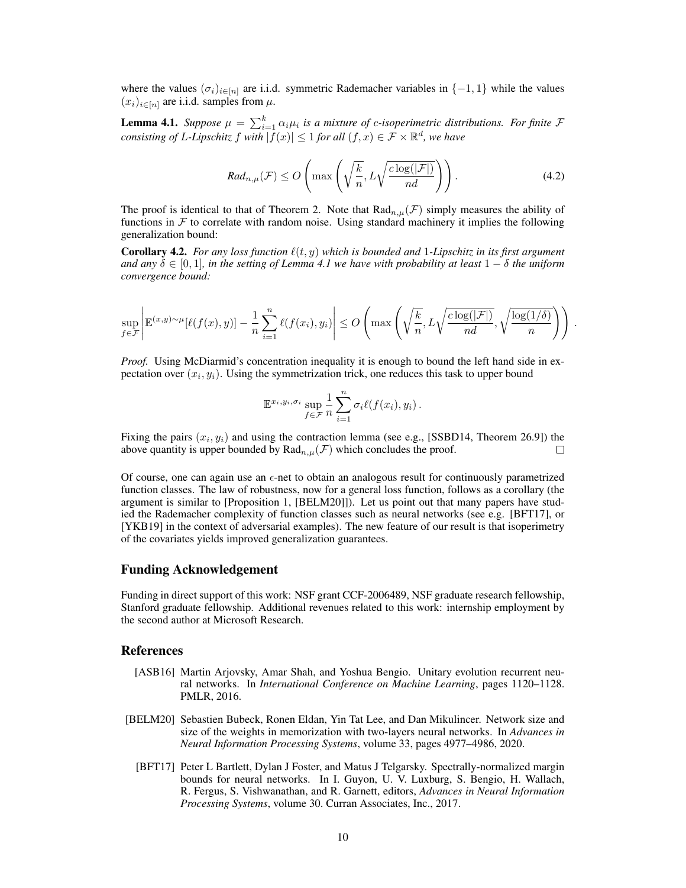where the values  $(\sigma_i)_{i \in [n]}$  are i.i.d. symmetric Rademacher variables in  $\{-1, 1\}$  while the values  $(x_i)_{i\in[n]}$  are i.i.d. samples from  $\mu$ .

**Lemma 4.1.** Suppose  $\mu = \sum_{i=1}^{k} \alpha_i \mu_i$  is a mixture of c-isoperimetric distributions. For finite  $\mathcal{F}$ *consisting of L-Lipschitz*  $f$  with  $|f(x)| \leq 1$  for all  $(f, x) \in \mathcal{F} \times \mathbb{R}^d$ , we have

$$
Rad_{n,\mu}(\mathcal{F}) \leq O\left(\max\left(\sqrt{\frac{k}{n}}, L\sqrt{\frac{c\log(|\mathcal{F}|)}{nd}}\right)\right).
$$
\n(4.2)

The proof is identical to that of Theorem 2. Note that  $\text{Rad}_{n,\mu}(\mathcal{F})$  simply measures the ability of functions in  $F$  to correlate with random noise. Using standard machinery it implies the following generalization bound:

**Corollary 4.2.** *For any loss function*  $\ell(t, y)$  *which is bounded and* 1*-Lipschitz in its first argument and any*  $\delta \in [0, 1]$ *, in the setting of Lemma 4.1 we have with probability at least*  $1 - \delta$  *the uniform convergence bound:*

$$
\sup_{f \in \mathcal{F}} \left| \mathbb{E}^{(x,y)\sim \mu}[\ell(f(x),y)] - \frac{1}{n} \sum_{i=1}^n \ell(f(x_i),y_i) \right| \leq O\left( \max\left( \sqrt{\frac{k}{n}}, L\sqrt{\frac{c\log(|\mathcal{F}|)}{nd}}, \sqrt{\frac{\log(1/\delta)}{n}} \right) \right).
$$

*Proof.* Using McDiarmid's concentration inequality it is enough to bound the left hand side in expectation over  $(x_i, y_i)$ . Using the symmetrization trick, one reduces this task to upper bound

$$
\mathbb{E}^{x_i, y_i, \sigma_i} \sup_{f \in \mathcal{F}} \frac{1}{n} \sum_{i=1}^n \sigma_i \ell(f(x_i), y_i).
$$

Fixing the pairs  $(x_i, y_i)$  and using the contraction lemma (see e.g., [SSBD14, Theorem 26.9]) the above quantity is upper bounded by  $\text{Rad}_{n,\mu}(\mathcal{F})$  which concludes the proof. П

Of course, one can again use an  $\epsilon$ -net to obtain an analogous result for continuously parametrized function classes. The law of robustness, now for a general loss function, follows as a corollary (the argument is similar to [Proposition 1, [BELM20]]). Let us point out that many papers have studied the Rademacher complexity of function classes such as neural networks (see e.g. [BFT17], or [YKB19] in the context of adversarial examples). The new feature of our result is that isoperimetry of the covariates yields improved generalization guarantees.

## Funding Acknowledgement

Funding in direct support of this work: NSF grant CCF-2006489, NSF graduate research fellowship, Stanford graduate fellowship. Additional revenues related to this work: internship employment by the second author at Microsoft Research.

#### References

- [ASB16] Martin Arjovsky, Amar Shah, and Yoshua Bengio. Unitary evolution recurrent neural networks. In *International Conference on Machine Learning*, pages 1120–1128. PMLR, 2016.
- [BELM20] Sebastien Bubeck, Ronen Eldan, Yin Tat Lee, and Dan Mikulincer. Network size and size of the weights in memorization with two-layers neural networks. In *Advances in Neural Information Processing Systems*, volume 33, pages 4977–4986, 2020.
	- [BFT17] Peter L Bartlett, Dylan J Foster, and Matus J Telgarsky. Spectrally-normalized margin bounds for neural networks. In I. Guyon, U. V. Luxburg, S. Bengio, H. Wallach, R. Fergus, S. Vishwanathan, and R. Garnett, editors, *Advances in Neural Information Processing Systems*, volume 30. Curran Associates, Inc., 2017.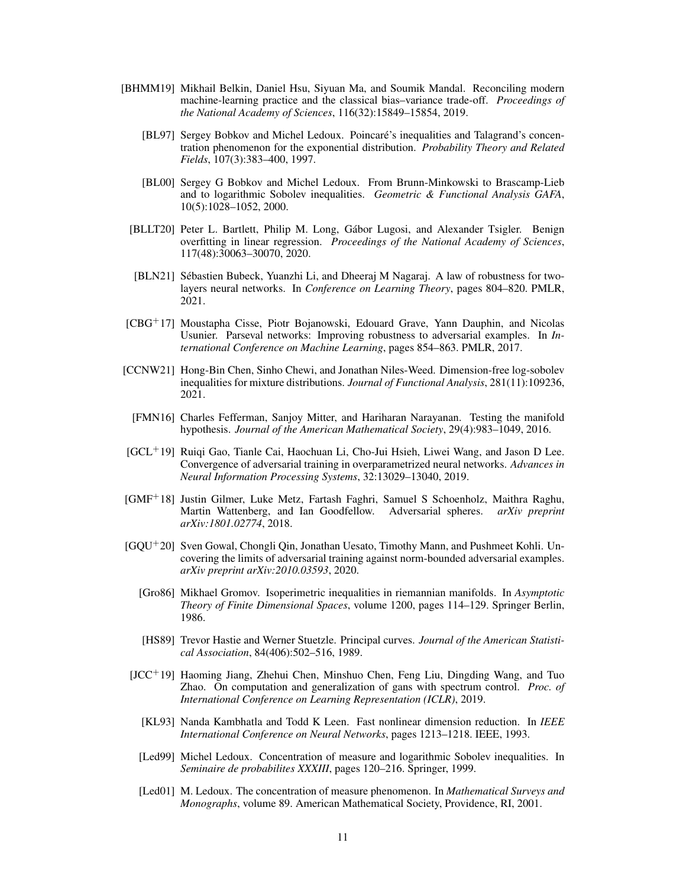- [BHMM19] Mikhail Belkin, Daniel Hsu, Siyuan Ma, and Soumik Mandal. Reconciling modern machine-learning practice and the classical bias–variance trade-off. *Proceedings of the National Academy of Sciences*, 116(32):15849–15854, 2019.
	- [BL97] Sergey Bobkov and Michel Ledoux. Poincare's inequalities and Talagrand's concen- ´ tration phenomenon for the exponential distribution. *Probability Theory and Related Fields*, 107(3):383–400, 1997.
	- [BL00] Sergey G Bobkov and Michel Ledoux. From Brunn-Minkowski to Brascamp-Lieb and to logarithmic Sobolev inequalities. *Geometric & Functional Analysis GAFA*, 10(5):1028–1052, 2000.
	- [BLLT20] Peter L. Bartlett, Philip M. Long, Gabor Lugosi, and Alexander Tsigler. Benign ´ overfitting in linear regression. *Proceedings of the National Academy of Sciences*, 117(48):30063–30070, 2020.
	- [BLN21] Sébastien Bubeck, Yuanzhi Li, and Dheeraj M Nagaraj. A law of robustness for twolayers neural networks. In *Conference on Learning Theory*, pages 804–820. PMLR, 2021.
- [CBG<sup>+</sup>17] Moustapha Cisse, Piotr Bojanowski, Edouard Grave, Yann Dauphin, and Nicolas Usunier. Parseval networks: Improving robustness to adversarial examples. In *International Conference on Machine Learning*, pages 854–863. PMLR, 2017.
- [CCNW21] Hong-Bin Chen, Sinho Chewi, and Jonathan Niles-Weed. Dimension-free log-sobolev inequalities for mixture distributions. *Journal of Functional Analysis*, 281(11):109236, 2021.
- [FMN16] Charles Fefferman, Sanjoy Mitter, and Hariharan Narayanan. Testing the manifold hypothesis. *Journal of the American Mathematical Society*, 29(4):983–1049, 2016.
- [GCL<sup>+</sup>19] Ruiqi Gao, Tianle Cai, Haochuan Li, Cho-Jui Hsieh, Liwei Wang, and Jason D Lee. Convergence of adversarial training in overparametrized neural networks. *Advances in Neural Information Processing Systems*, 32:13029–13040, 2019.
- [GMF<sup>+</sup>18] Justin Gilmer, Luke Metz, Fartash Faghri, Samuel S Schoenholz, Maithra Raghu, Martin Wattenberg, and Ian Goodfellow. Adversarial spheres. *arXiv preprint arXiv:1801.02774*, 2018.
- [GQU<sup>+</sup>20] Sven Gowal, Chongli Qin, Jonathan Uesato, Timothy Mann, and Pushmeet Kohli. Uncovering the limits of adversarial training against norm-bounded adversarial examples. *arXiv preprint arXiv:2010.03593*, 2020.
	- [Gro86] Mikhael Gromov. Isoperimetric inequalities in riemannian manifolds. In *Asymptotic Theory of Finite Dimensional Spaces*, volume 1200, pages 114–129. Springer Berlin, 1986.
	- [HS89] Trevor Hastie and Werner Stuetzle. Principal curves. *Journal of the American Statistical Association*, 84(406):502–516, 1989.
- $[JCC<sup>+</sup>19]$  Haoming Jiang, Zhehui Chen, Minshuo Chen, Feng Liu, Dingding Wang, and Tuo Zhao. On computation and generalization of gans with spectrum control. *Proc. of International Conference on Learning Representation (ICLR)*, 2019.
	- [KL93] Nanda Kambhatla and Todd K Leen. Fast nonlinear dimension reduction. In *IEEE International Conference on Neural Networks*, pages 1213–1218. IEEE, 1993.
	- [Led99] Michel Ledoux. Concentration of measure and logarithmic Sobolev inequalities. In *Seminaire de probabilites XXXIII*, pages 120–216. Springer, 1999.
	- [Led01] M. Ledoux. The concentration of measure phenomenon. In *Mathematical Surveys and Monographs*, volume 89. American Mathematical Society, Providence, RI, 2001.